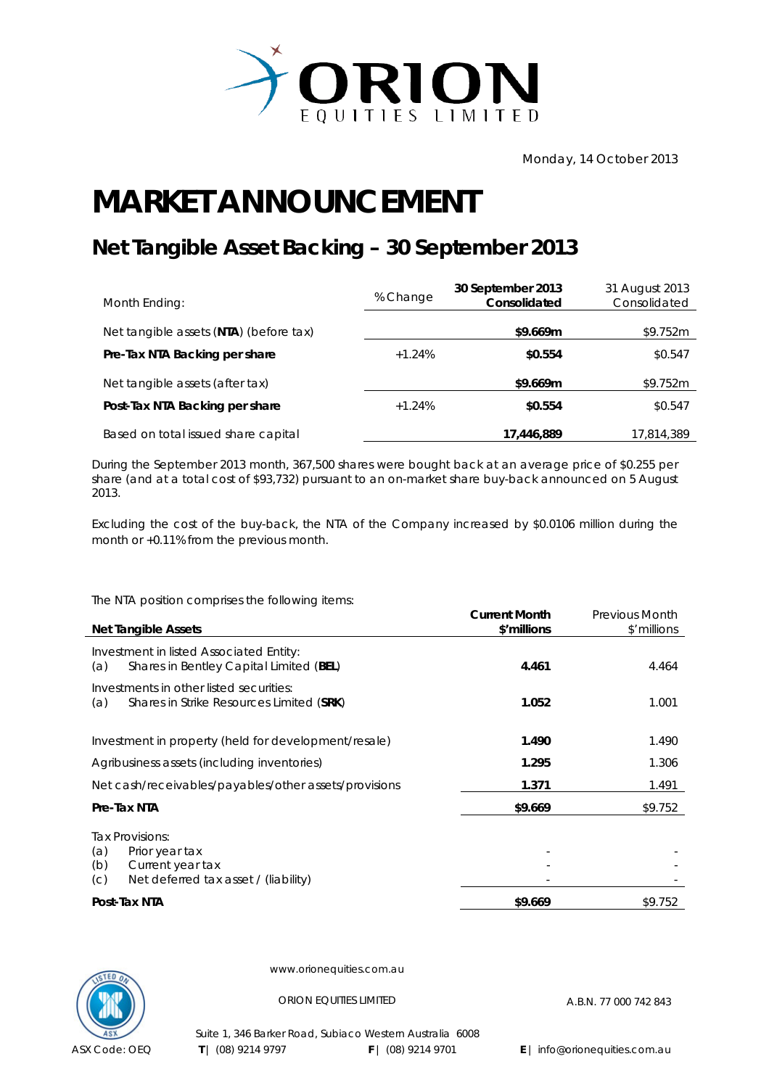

## **MARKET ANNOUNCEMENT**

## **Net Tangible Asset Backing – 30 September 2013**

| Month Ending:                          | % Change | 30 September 2013<br>Consolidated | 31 August 2013<br>Consolidated |
|----------------------------------------|----------|-----------------------------------|--------------------------------|
| Net tangible assets (NTA) (before tax) |          | \$9.669m                          | \$9.752m                       |
| Pre-Tax NTA Backing per share          | $+1.24%$ | \$0.554                           | \$0.547                        |
| Net tangible assets (after tax)        |          | \$9.669m                          | \$9.752m                       |
| Post-Tax NTA Backing per share         | $+1.24%$ | \$0.554                           | \$0.547                        |
| Based on total issued share capital    |          | 17,446,889                        | 17,814,389                     |

During the September 2013 month, 367,500 shares were bought back at an average price of \$0.255 per share (and at a total cost of \$93,732) pursuant to an on-market share buy-back announced on 5 August 2013.

Excluding the cost of the buy-back, the NTA of the Company increased by \$0.0106 million during the month or +0.11% from the previous month.

The NTA position comprises the following items:

| <b>Net Tangible Assets</b>                                                                                         | <b>Current Month</b><br>\$'millions | <b>Previous Month</b><br>\$'millions |
|--------------------------------------------------------------------------------------------------------------------|-------------------------------------|--------------------------------------|
| Investment in listed Associated Entity:<br>Shares in Bentley Capital Limited (BEL)<br>(a)                          | 4.461                               | 4.464                                |
| Investments in other listed securities:<br>Shares in Strike Resources Limited (SRK)<br>(a)                         | 1.052                               | 1.001                                |
| Investment in property (held for development/resale)                                                               | 1.490                               | 1.490                                |
| Agribusiness assets (including inventories)                                                                        | 1.295                               | 1.306                                |
| Net cash/receivables/payables/other assets/provisions                                                              | 1.371                               | 1.491                                |
| Pre-Tax NTA                                                                                                        | \$9.669                             | \$9.752                              |
| Tax Provisions:<br>(a)<br>Prior year tax<br>(b)<br>Current year tax<br>Net deferred tax asset / (liability)<br>(C) |                                     |                                      |
| Post-Tax NTA                                                                                                       | \$9.669                             | \$9.752                              |



www.orionequities.com.au

ORION EQUITIES LIMITED A.B.N. 77 000 742 843

Suite 1, 346 Barker Road, Subiaco Western Australia 6008  **T** | (08) 9214 9797 **F** | (08) 9214 9701 **E** | info@orionequities.com.au